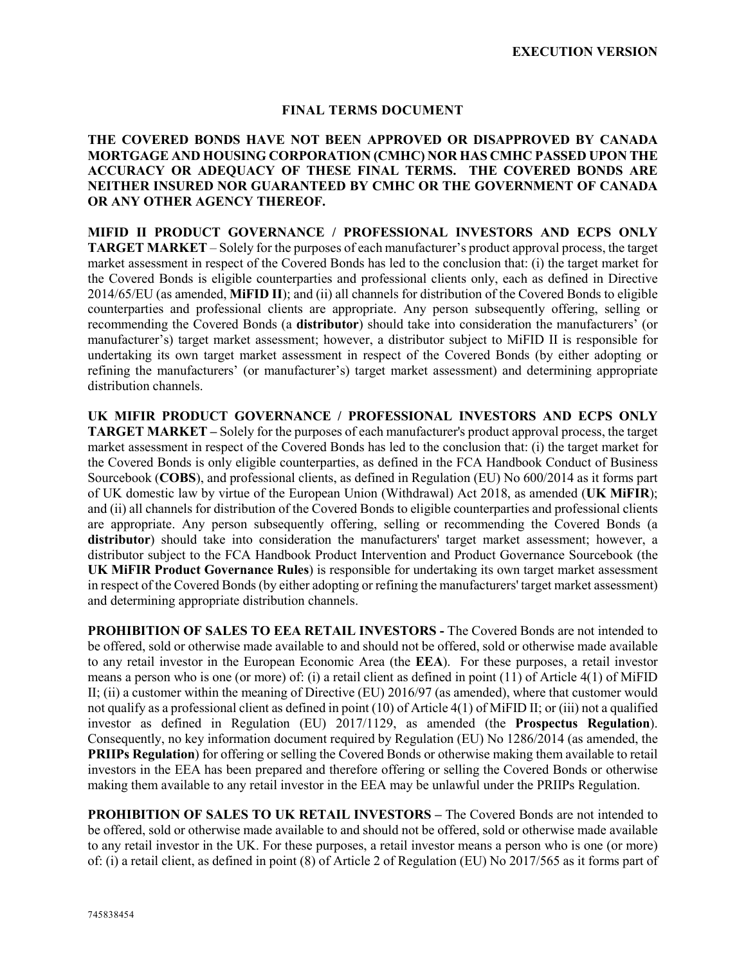## **FINAL TERMS DOCUMENT**

## **THE COVERED BONDS HAVE NOT BEEN APPROVED OR DISAPPROVED BY CANADA MORTGAGE AND HOUSING CORPORATION (CMHC) NOR HAS CMHC PASSED UPON THE ACCURACY OR ADEQUACY OF THESE FINAL TERMS. THE COVERED BONDS ARE NEITHER INSURED NOR GUARANTEED BY CMHC OR THE GOVERNMENT OF CANADA OR ANY OTHER AGENCY THEREOF.**

**MIFID II PRODUCT GOVERNANCE / PROFESSIONAL INVESTORS AND ECPS ONLY TARGET MARKET** – Solely for the purposes of each manufacturer's product approval process, the target market assessment in respect of the Covered Bonds has led to the conclusion that: (i) the target market for the Covered Bonds is eligible counterparties and professional clients only, each as defined in Directive 2014/65/EU (as amended, **MiFID II**); and (ii) all channels for distribution of the Covered Bonds to eligible counterparties and professional clients are appropriate. Any person subsequently offering, selling or recommending the Covered Bonds (a **distributor**) should take into consideration the manufacturers' (or manufacturer's) target market assessment; however, a distributor subject to MiFID II is responsible for undertaking its own target market assessment in respect of the Covered Bonds (by either adopting or refining the manufacturers' (or manufacturer's) target market assessment) and determining appropriate distribution channels.

**UK MIFIR PRODUCT GOVERNANCE / PROFESSIONAL INVESTORS AND ECPS ONLY TARGET MARKET –** Solely for the purposes of each manufacturer's product approval process, the target market assessment in respect of the Covered Bonds has led to the conclusion that: (i) the target market for the Covered Bonds is only eligible counterparties, as defined in the FCA Handbook Conduct of Business Sourcebook (**COBS**), and professional clients, as defined in Regulation (EU) No 600/2014 as it forms part of UK domestic law by virtue of the European Union (Withdrawal) Act 2018, as amended (**UK MiFIR**); and (ii) all channels for distribution of the Covered Bonds to eligible counterparties and professional clients are appropriate. Any person subsequently offering, selling or recommending the Covered Bonds (a **distributor**) should take into consideration the manufacturers' target market assessment; however, a distributor subject to the FCA Handbook Product Intervention and Product Governance Sourcebook (the **UK MiFIR Product Governance Rules**) is responsible for undertaking its own target market assessment in respect of the Covered Bonds (by either adopting or refining the manufacturers' target market assessment) and determining appropriate distribution channels.

**PROHIBITION OF SALES TO EEA RETAIL INVESTORS -** The Covered Bonds are not intended to be offered, sold or otherwise made available to and should not be offered, sold or otherwise made available to any retail investor in the European Economic Area (the **EEA**). For these purposes, a retail investor means a person who is one (or more) of: (i) a retail client as defined in point (11) of Article 4(1) of MiFID II; (ii) a customer within the meaning of Directive (EU) 2016/97 (as amended), where that customer would not qualify as a professional client as defined in point (10) of Article 4(1) of MiFID II; or (iii) not a qualified investor as defined in Regulation (EU) 2017/1129, as amended (the **Prospectus Regulation**). Consequently, no key information document required by Regulation (EU) No 1286/2014 (as amended, the **PRIIPs Regulation**) for offering or selling the Covered Bonds or otherwise making them available to retail investors in the EEA has been prepared and therefore offering or selling the Covered Bonds or otherwise making them available to any retail investor in the EEA may be unlawful under the PRIIPs Regulation.

**PROHIBITION OF SALES TO UK RETAIL INVESTORS –** The Covered Bonds are not intended to be offered, sold or otherwise made available to and should not be offered, sold or otherwise made available to any retail investor in the UK. For these purposes, a retail investor means a person who is one (or more) of: (i) a retail client, as defined in point (8) of Article 2 of Regulation (EU) No 2017/565 as it forms part of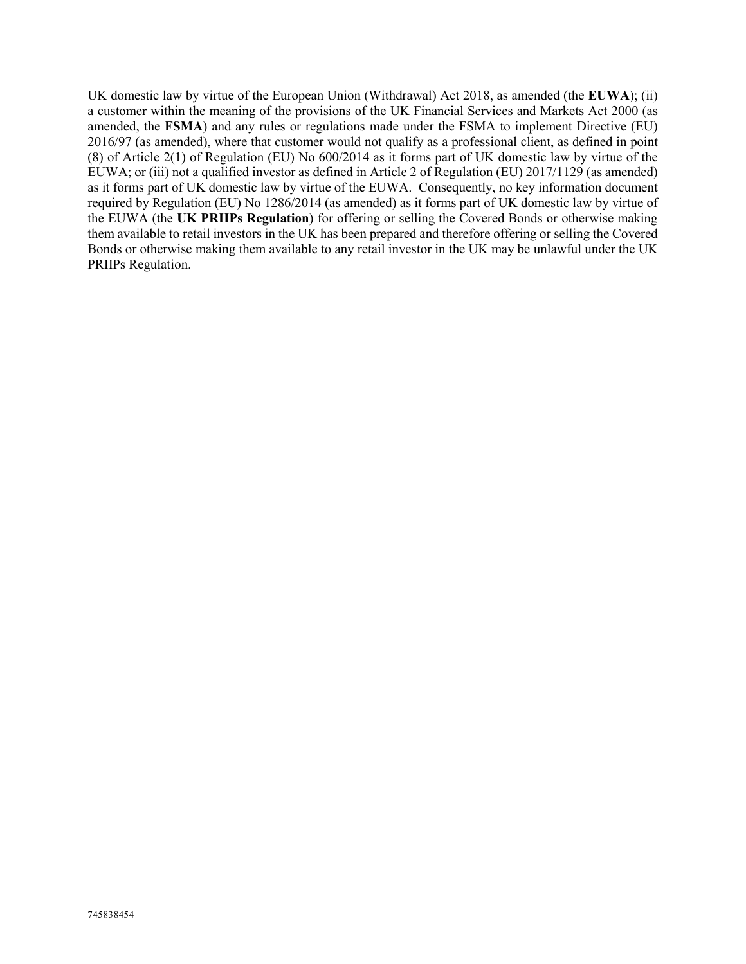UK domestic law by virtue of the European Union (Withdrawal) Act 2018, as amended (the **EUWA**); (ii) a customer within the meaning of the provisions of the UK Financial Services and Markets Act 2000 (as amended, the **FSMA**) and any rules or regulations made under the FSMA to implement Directive (EU) 2016/97 (as amended), where that customer would not qualify as a professional client, as defined in point (8) of Article 2(1) of Regulation (EU) No 600/2014 as it forms part of UK domestic law by virtue of the EUWA; or (iii) not a qualified investor as defined in Article 2 of Regulation (EU) 2017/1129 (as amended) as it forms part of UK domestic law by virtue of the EUWA. Consequently, no key information document required by Regulation (EU) No 1286/2014 (as amended) as it forms part of UK domestic law by virtue of the EUWA (the **UK PRIIPs Regulation**) for offering or selling the Covered Bonds or otherwise making them available to retail investors in the UK has been prepared and therefore offering or selling the Covered Bonds or otherwise making them available to any retail investor in the UK may be unlawful under the UK PRIIPs Regulation.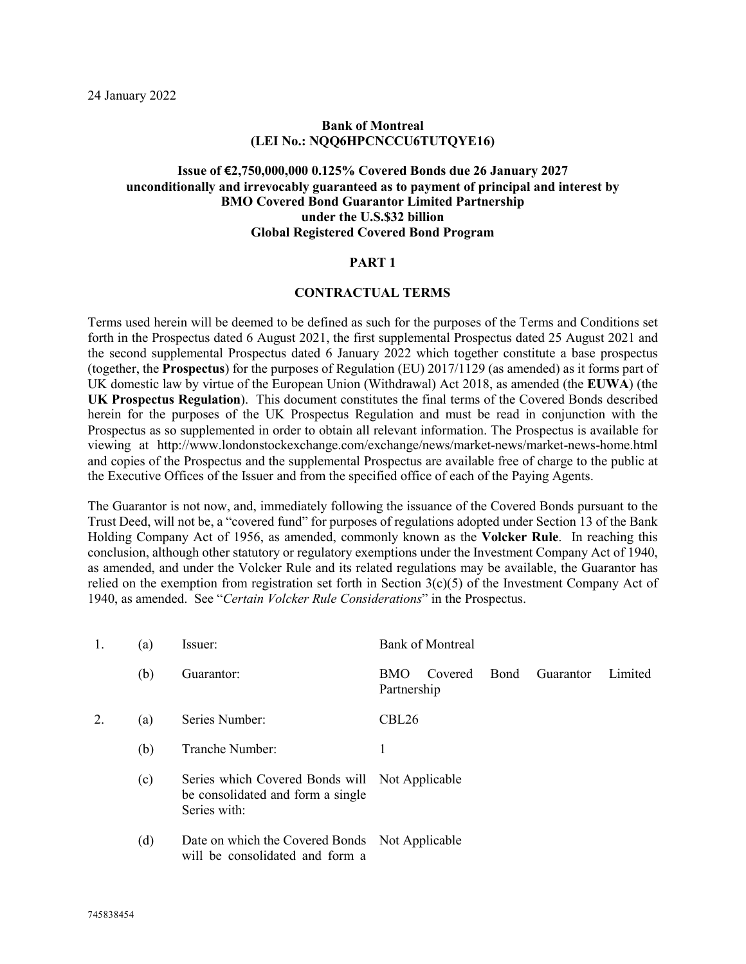### **Bank of Montreal (LEI No.: NQQ6HPCNCCU6TUTQYE16)**

## **Issue of €2,750,000,000 0.125% Covered Bonds due 26 January 2027 unconditionally and irrevocably guaranteed as to payment of principal and interest by BMO Covered Bond Guarantor Limited Partnership under the U.S.\$32 billion Global Registered Covered Bond Program**

#### **PART 1**

#### **CONTRACTUAL TERMS**

Terms used herein will be deemed to be defined as such for the purposes of the Terms and Conditions set forth in the Prospectus dated 6 August 2021, the first supplemental Prospectus dated 25 August 2021 and the second supplemental Prospectus dated 6 January 2022 which together constitute a base prospectus (together, the **Prospectus**) for the purposes of Regulation (EU) 2017/1129 (as amended) as it forms part of UK domestic law by virtue of the European Union (Withdrawal) Act 2018, as amended (the **EUWA**) (the **UK Prospectus Regulation**). This document constitutes the final terms of the Covered Bonds described herein for the purposes of the UK Prospectus Regulation and must be read in conjunction with the Prospectus as so supplemented in order to obtain all relevant information. The Prospectus is available for viewing at http://www.londonstockexchange.com/exchange/news/market-news/market-news-home.html and copies of the Prospectus and the supplemental Prospectus are available free of charge to the public at the Executive Offices of the Issuer and from the specified office of each of the Paying Agents.

The Guarantor is not now, and, immediately following the issuance of the Covered Bonds pursuant to the Trust Deed, will not be, a "covered fund" for purposes of regulations adopted under Section 13 of the Bank Holding Company Act of 1956, as amended, commonly known as the **Volcker Rule**. In reaching this conclusion, although other statutory or regulatory exemptions under the Investment Company Act of 1940, as amended, and under the Volcker Rule and its related regulations may be available, the Guarantor has relied on the exemption from registration set forth in Section  $3(c)(5)$  of the Investment Company Act of 1940, as amended. See "*Certain Volcker Rule Considerations*" in the Prospectus.

| 1. | (a) | Issuer:                                                                                             | <b>Bank of Montreal</b>                                                     |  |  |  |  |
|----|-----|-----------------------------------------------------------------------------------------------------|-----------------------------------------------------------------------------|--|--|--|--|
|    | (b) | Guarantor:                                                                                          | <b>Bond</b><br>Guarantor<br>Limited<br>Covered<br><b>BMO</b><br>Partnership |  |  |  |  |
|    | (a) | Series Number:                                                                                      | CBL <sub>26</sub>                                                           |  |  |  |  |
|    | (b) | Tranche Number:                                                                                     | 1                                                                           |  |  |  |  |
|    | (c) | Series which Covered Bonds will Not Applicable<br>be consolidated and form a single<br>Series with: |                                                                             |  |  |  |  |
|    | (d) | Date on which the Covered Bonds Not Applicable<br>will be consolidated and form a                   |                                                                             |  |  |  |  |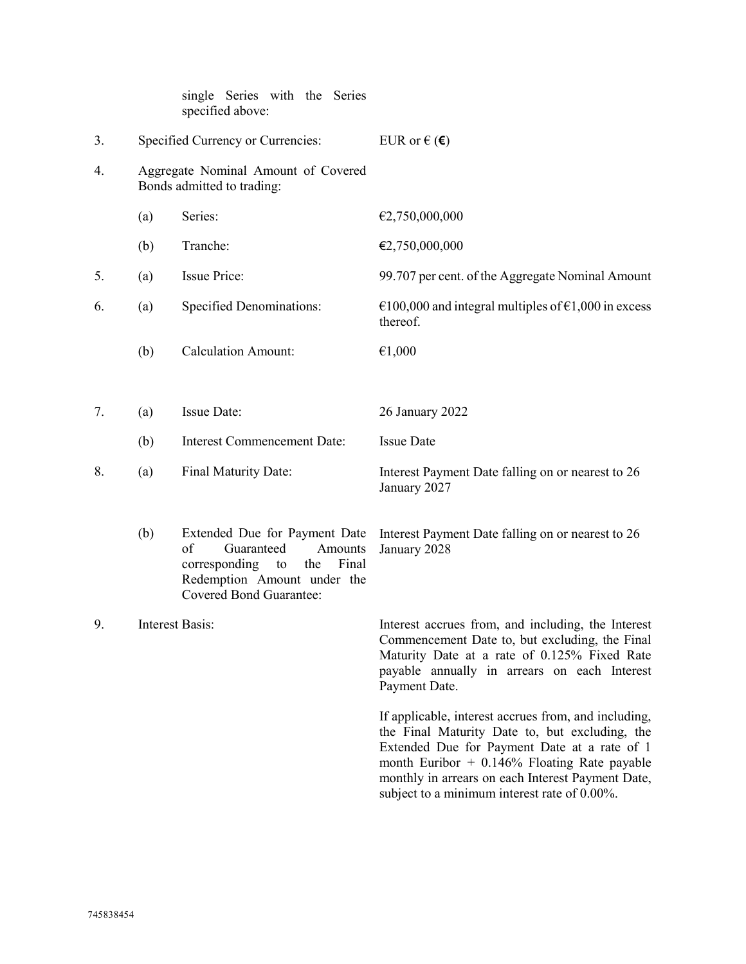|    |                        | single Series with the Series<br>specified above:                                                                                                                 |                                                                                                                                                                                                                                                                                                               |
|----|------------------------|-------------------------------------------------------------------------------------------------------------------------------------------------------------------|---------------------------------------------------------------------------------------------------------------------------------------------------------------------------------------------------------------------------------------------------------------------------------------------------------------|
| 3. |                        | Specified Currency or Currencies:                                                                                                                                 | EUR or $\in$ ( $\in$ )                                                                                                                                                                                                                                                                                        |
| 4. |                        | Aggregate Nominal Amount of Covered<br>Bonds admitted to trading:                                                                                                 |                                                                                                                                                                                                                                                                                                               |
|    | (a)                    | Series:                                                                                                                                                           | €2,750,000,000                                                                                                                                                                                                                                                                                                |
|    | (b)                    | Tranche:                                                                                                                                                          | €2,750,000,000                                                                                                                                                                                                                                                                                                |
| 5. | (a)                    | <b>Issue Price:</b>                                                                                                                                               | 99.707 per cent. of the Aggregate Nominal Amount                                                                                                                                                                                                                                                              |
| 6. | (a)                    | <b>Specified Denominations:</b>                                                                                                                                   | €100,000 and integral multiples of $€1,000$ in excess<br>thereof.                                                                                                                                                                                                                                             |
|    | (b)                    | <b>Calculation Amount:</b>                                                                                                                                        | €1,000                                                                                                                                                                                                                                                                                                        |
|    |                        |                                                                                                                                                                   |                                                                                                                                                                                                                                                                                                               |
| 7. | (a)                    | Issue Date:                                                                                                                                                       | 26 January 2022                                                                                                                                                                                                                                                                                               |
|    | (b)                    | <b>Interest Commencement Date:</b>                                                                                                                                | <b>Issue Date</b>                                                                                                                                                                                                                                                                                             |
| 8. | (a)                    | Final Maturity Date:                                                                                                                                              | Interest Payment Date falling on or nearest to 26<br>January 2027                                                                                                                                                                                                                                             |
|    | (b)                    | Extended Due for Payment Date<br>of<br>Guaranteed<br>Amounts<br>corresponding to<br>Final<br>the<br>Redemption Amount under the<br><b>Covered Bond Guarantee:</b> | Interest Payment Date falling on or nearest to 26<br>January 2028                                                                                                                                                                                                                                             |
| 9. | <b>Interest Basis:</b> |                                                                                                                                                                   | Interest accrues from, and including, the Interest<br>Commencement Date to, but excluding, the Final<br>Maturity Date at a rate of 0.125% Fixed Rate<br>payable annually in arrears on each Interest<br>Payment Date.                                                                                         |
|    |                        |                                                                                                                                                                   | If applicable, interest accrues from, and including,<br>the Final Maturity Date to, but excluding, the<br>Extended Due for Payment Date at a rate of 1<br>month Euribor $+$ 0.146% Floating Rate payable<br>monthly in arrears on each Interest Payment Date,<br>subject to a minimum interest rate of 0.00%. |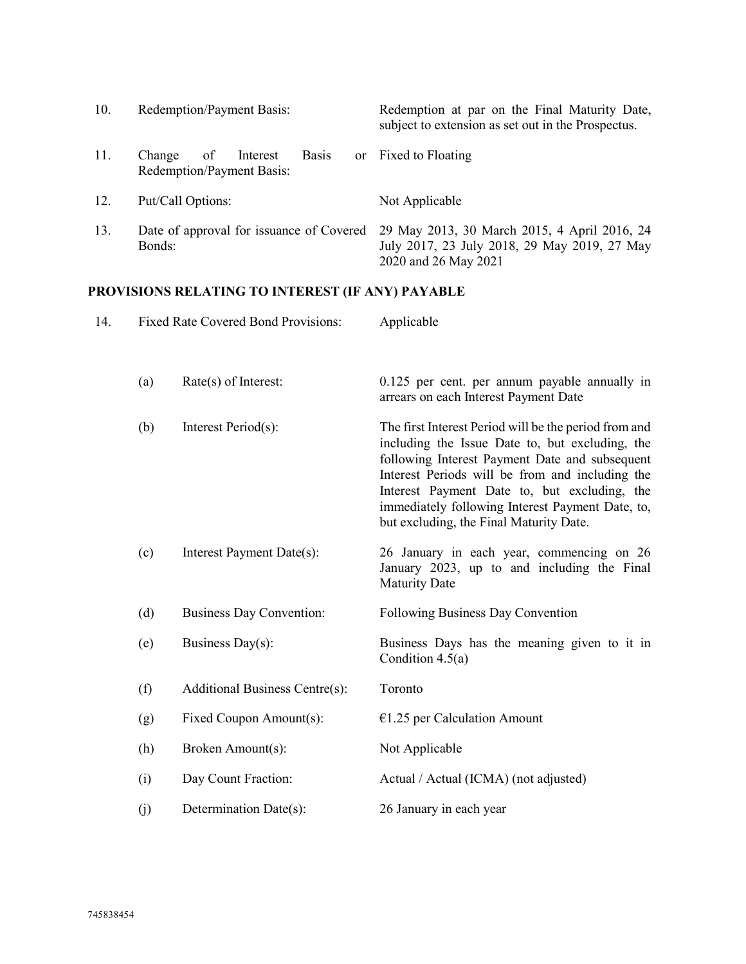| 10. | Redemption/Payment Basis:                                             | Redemption at par on the Final Maturity Date,<br>subject to extension as set out in the Prospectus.                  |
|-----|-----------------------------------------------------------------------|----------------------------------------------------------------------------------------------------------------------|
| 11. | <b>Basis</b><br>of<br>Interest<br>Change<br>Redemption/Payment Basis: | or Fixed to Floating                                                                                                 |
| 12. | Put/Call Options:                                                     | Not Applicable                                                                                                       |
| 13. | Date of approval for issuance of Covered<br>Bonds:                    | 29 May 2013, 30 March 2015, 4 April 2016, 24<br>July 2017, 23 July 2018, 29 May 2019, 27 May<br>2020 and 26 May 2021 |

# **PROVISIONS RELATING TO INTEREST (IF ANY) PAYABLE**

| 14. |     | <b>Fixed Rate Covered Bond Provisions:</b> | Applicable                                                                                                                                                                                                                                                                                                                                                   |  |  |
|-----|-----|--------------------------------------------|--------------------------------------------------------------------------------------------------------------------------------------------------------------------------------------------------------------------------------------------------------------------------------------------------------------------------------------------------------------|--|--|
|     | (a) | Rate(s) of Interest:                       | 0.125 per cent. per annum payable annually in<br>arrears on each Interest Payment Date                                                                                                                                                                                                                                                                       |  |  |
|     | (b) | Interest Period(s):                        | The first Interest Period will be the period from and<br>including the Issue Date to, but excluding, the<br>following Interest Payment Date and subsequent<br>Interest Periods will be from and including the<br>Interest Payment Date to, but excluding, the<br>immediately following Interest Payment Date, to,<br>but excluding, the Final Maturity Date. |  |  |
|     | (c) | Interest Payment Date(s):                  | 26 January in each year, commencing on 26<br>January 2023, up to and including the Final<br><b>Maturity Date</b>                                                                                                                                                                                                                                             |  |  |
|     | (d) | <b>Business Day Convention:</b>            | Following Business Day Convention                                                                                                                                                                                                                                                                                                                            |  |  |
|     | (e) | Business Day(s):                           | Business Days has the meaning given to it in<br>Condition $4.5(a)$                                                                                                                                                                                                                                                                                           |  |  |
|     | (f) | Additional Business Centre(s):             | Toronto                                                                                                                                                                                                                                                                                                                                                      |  |  |
|     | (g) | Fixed Coupon Amount(s):                    | $€1.25$ per Calculation Amount                                                                                                                                                                                                                                                                                                                               |  |  |
|     | (h) | Broken Amount(s):                          | Not Applicable                                                                                                                                                                                                                                                                                                                                               |  |  |
|     | (i) | Day Count Fraction:                        | Actual / Actual (ICMA) (not adjusted)                                                                                                                                                                                                                                                                                                                        |  |  |
|     | (j) | Determination Date(s):                     | 26 January in each year                                                                                                                                                                                                                                                                                                                                      |  |  |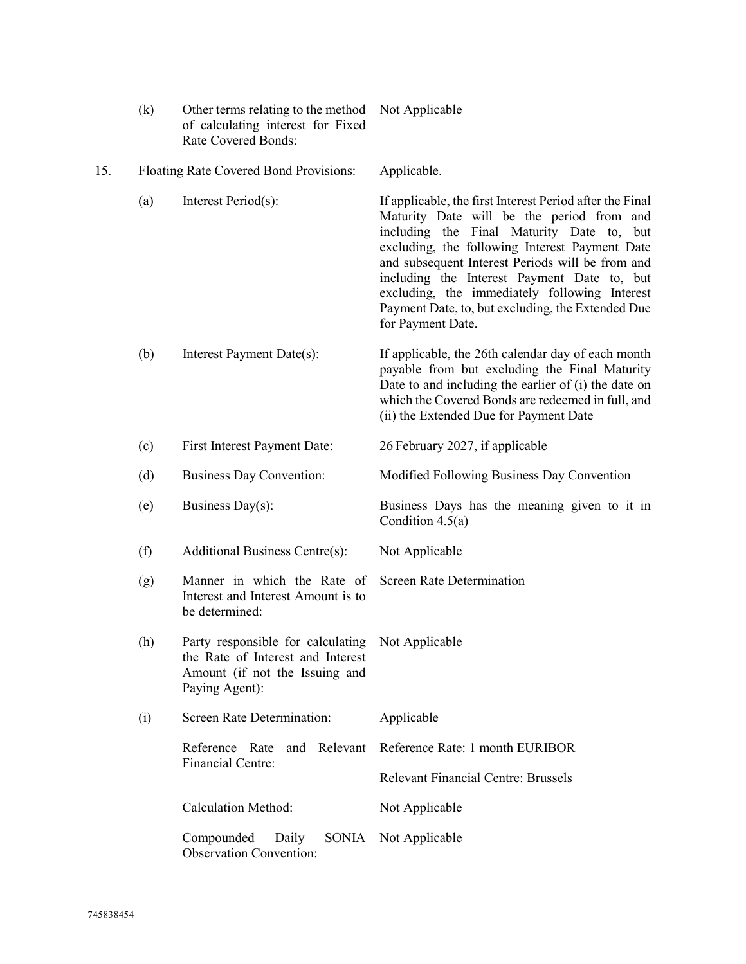|     | (k) | Other terms relating to the method<br>of calculating interest for Fixed<br>Rate Covered Bonds:                             | Not Applicable                                                                                                                                                                                                                                                                                                                                                                                                                     |  |  |
|-----|-----|----------------------------------------------------------------------------------------------------------------------------|------------------------------------------------------------------------------------------------------------------------------------------------------------------------------------------------------------------------------------------------------------------------------------------------------------------------------------------------------------------------------------------------------------------------------------|--|--|
| 15. |     | Floating Rate Covered Bond Provisions:                                                                                     | Applicable.                                                                                                                                                                                                                                                                                                                                                                                                                        |  |  |
|     | (a) | Interest Period(s):                                                                                                        | If applicable, the first Interest Period after the Final<br>Maturity Date will be the period from and<br>including the Final Maturity Date to, but<br>excluding, the following Interest Payment Date<br>and subsequent Interest Periods will be from and<br>including the Interest Payment Date to, but<br>excluding, the immediately following Interest<br>Payment Date, to, but excluding, the Extended Due<br>for Payment Date. |  |  |
|     | (b) | Interest Payment Date(s):                                                                                                  | If applicable, the 26th calendar day of each month<br>payable from but excluding the Final Maturity<br>Date to and including the earlier of $(i)$ the date on<br>which the Covered Bonds are redeemed in full, and<br>(ii) the Extended Due for Payment Date                                                                                                                                                                       |  |  |
|     | (c) | First Interest Payment Date:                                                                                               | 26 February 2027, if applicable                                                                                                                                                                                                                                                                                                                                                                                                    |  |  |
|     | (d) | <b>Business Day Convention:</b>                                                                                            | Modified Following Business Day Convention                                                                                                                                                                                                                                                                                                                                                                                         |  |  |
|     | (e) | Business Day(s):                                                                                                           | Business Days has the meaning given to it in<br>Condition $4.5(a)$                                                                                                                                                                                                                                                                                                                                                                 |  |  |
|     | (f) | Additional Business Centre(s):                                                                                             | Not Applicable                                                                                                                                                                                                                                                                                                                                                                                                                     |  |  |
|     | (g) | Manner in which the Rate of<br>Interest and Interest Amount is to<br>be determined:                                        | <b>Screen Rate Determination</b>                                                                                                                                                                                                                                                                                                                                                                                                   |  |  |
|     | (h) | Party responsible for calculating<br>the Rate of Interest and Interest<br>Amount (if not the Issuing and<br>Paying Agent): | Not Applicable                                                                                                                                                                                                                                                                                                                                                                                                                     |  |  |
|     | (i) | Screen Rate Determination:                                                                                                 | Applicable                                                                                                                                                                                                                                                                                                                                                                                                                         |  |  |
|     |     | and Relevant<br>Reference Rate                                                                                             | Reference Rate: 1 month EURIBOR                                                                                                                                                                                                                                                                                                                                                                                                    |  |  |
|     |     | <b>Financial Centre:</b>                                                                                                   | <b>Relevant Financial Centre: Brussels</b>                                                                                                                                                                                                                                                                                                                                                                                         |  |  |
|     |     | <b>Calculation Method:</b>                                                                                                 | Not Applicable                                                                                                                                                                                                                                                                                                                                                                                                                     |  |  |
|     |     | Compounded<br><b>SONIA</b><br>Daily<br><b>Observation Convention:</b>                                                      | Not Applicable                                                                                                                                                                                                                                                                                                                                                                                                                     |  |  |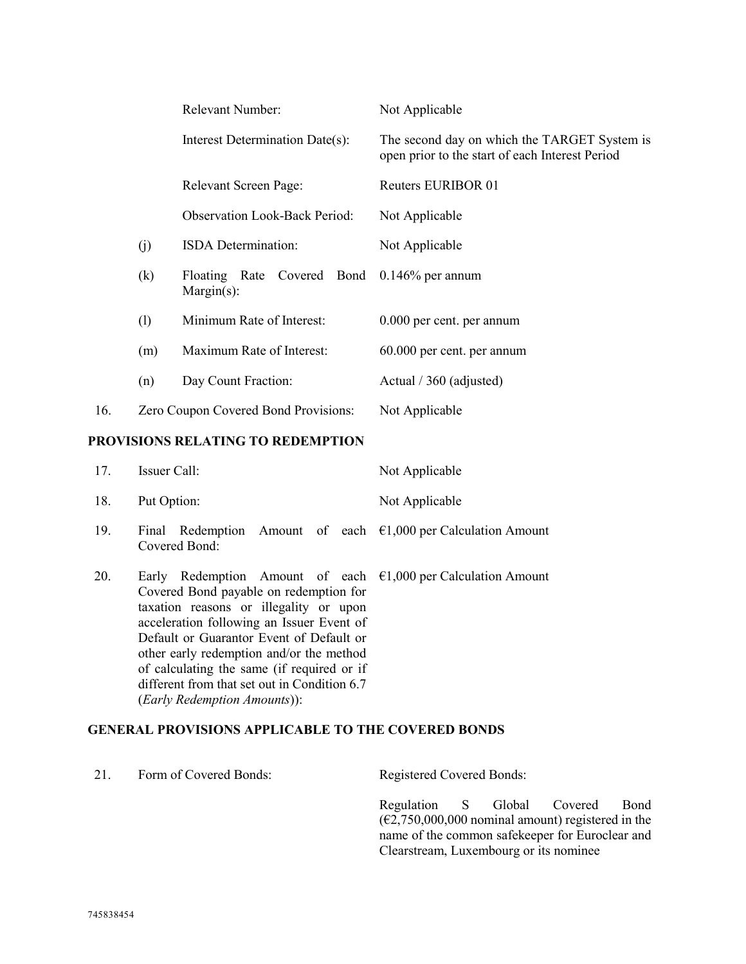|     |     | <b>Relevant Number:</b>                                      | Not Applicable                                                                                  |
|-----|-----|--------------------------------------------------------------|-------------------------------------------------------------------------------------------------|
|     |     | Interest Determination Date(s):                              | The second day on which the TARGET System is<br>open prior to the start of each Interest Period |
|     |     | <b>Relevant Screen Page:</b>                                 | <b>Reuters EURIBOR 01</b>                                                                       |
|     |     | <b>Observation Look-Back Period:</b>                         | Not Applicable                                                                                  |
|     | (i) | <b>ISDA</b> Determination:                                   | Not Applicable                                                                                  |
|     | (k) | Floating Rate Covered Bond 0.146% per annum<br>$Margin(s)$ : |                                                                                                 |
|     | (1) | Minimum Rate of Interest:                                    | 0.000 per cent. per annum                                                                       |
|     | (m) | Maximum Rate of Interest:                                    | 60.000 per cent. per annum                                                                      |
|     | (n) | Day Count Fraction:                                          | Actual / 360 (adjusted)                                                                         |
| 16. |     | Zero Coupon Covered Bond Provisions:                         | Not Applicable                                                                                  |
|     |     |                                                              |                                                                                                 |

## **PROVISIONS RELATING TO REDEMPTION**

| 17. | Issuer Call:                                                                                                                                                                                                                                                                                                                                                                                                                            | Not Applicable |
|-----|-----------------------------------------------------------------------------------------------------------------------------------------------------------------------------------------------------------------------------------------------------------------------------------------------------------------------------------------------------------------------------------------------------------------------------------------|----------------|
| 18. | Put Option:                                                                                                                                                                                                                                                                                                                                                                                                                             | Not Applicable |
| 19. | Final Redemption Amount of each $\epsilon$ 1,000 per Calculation Amount<br>Covered Bond:                                                                                                                                                                                                                                                                                                                                                |                |
| 20. | Early Redemption Amount of each $\epsilon$ 1,000 per Calculation Amount<br>Covered Bond payable on redemption for<br>taxation reasons or illegality or upon<br>acceleration following an Issuer Event of<br>Default or Guarantor Event of Default or<br>other early redemption and/or the method<br>of calculating the same (if required or if<br>different from that set out in Condition 6.7<br>( <i>Early Redemption Amounts</i> )): |                |

# **GENERAL PROVISIONS APPLICABLE TO THE COVERED BONDS**

| 21. | Form of Covered Bonds: | <b>Registered Covered Bonds:</b>                                                                                                                                                                           |
|-----|------------------------|------------------------------------------------------------------------------------------------------------------------------------------------------------------------------------------------------------|
|     |                        | Regulation S Global Covered<br>Bond<br>$(\text{\textsterling}2,750,000,000$ nominal amount) registered in the<br>name of the common safekeeper for Euroclear and<br>Clearstream, Luxembourg or its nominee |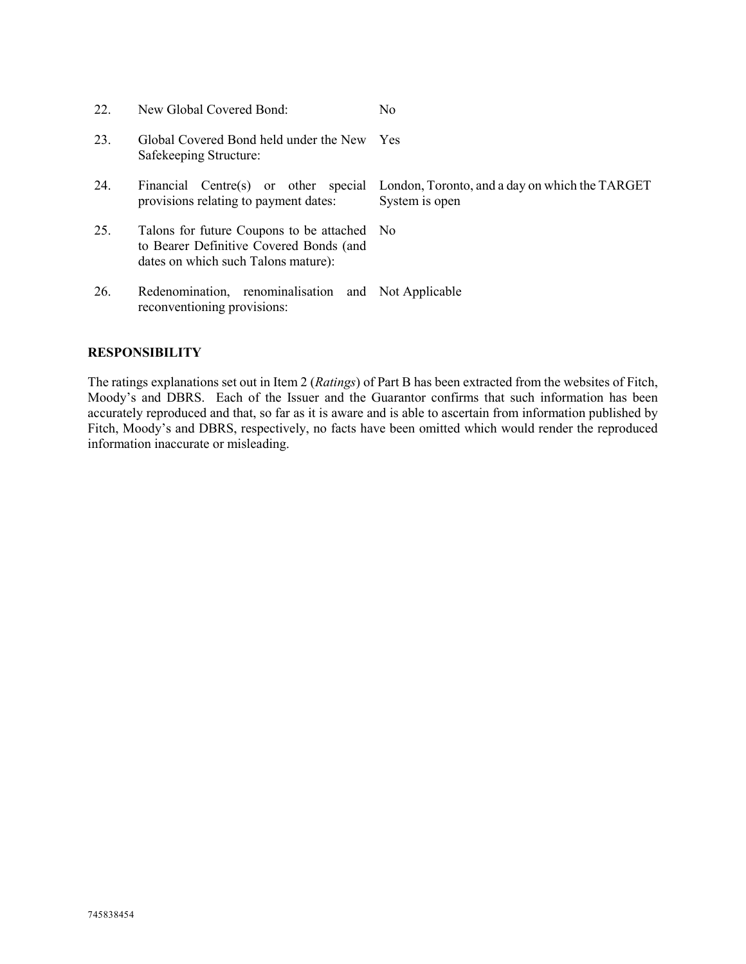| 22. | New Global Covered Bond:                                                                                                      | N <sub>0</sub>                                                   |
|-----|-------------------------------------------------------------------------------------------------------------------------------|------------------------------------------------------------------|
| 23. | Global Covered Bond held under the New<br>Safekeeping Structure:                                                              | <b>Yes</b>                                                       |
| 24. | Financial Centre(s) or other special<br>provisions relating to payment dates:                                                 | London, Toronto, and a day on which the TARGET<br>System is open |
| 25. | Talons for future Coupons to be attached No<br>to Bearer Definitive Covered Bonds (and<br>dates on which such Talons mature): |                                                                  |
| 26. | Redenomination, renominalisation and Not Applicable<br>reconventioning provisions:                                            |                                                                  |

## **RESPONSIBILITY**

The ratings explanations set out in Item 2 (*Ratings*) of Part B has been extracted from the websites of Fitch, Moody's and DBRS. Each of the Issuer and the Guarantor confirms that such information has been accurately reproduced and that, so far as it is aware and is able to ascertain from information published by Fitch, Moody's and DBRS, respectively, no facts have been omitted which would render the reproduced information inaccurate or misleading.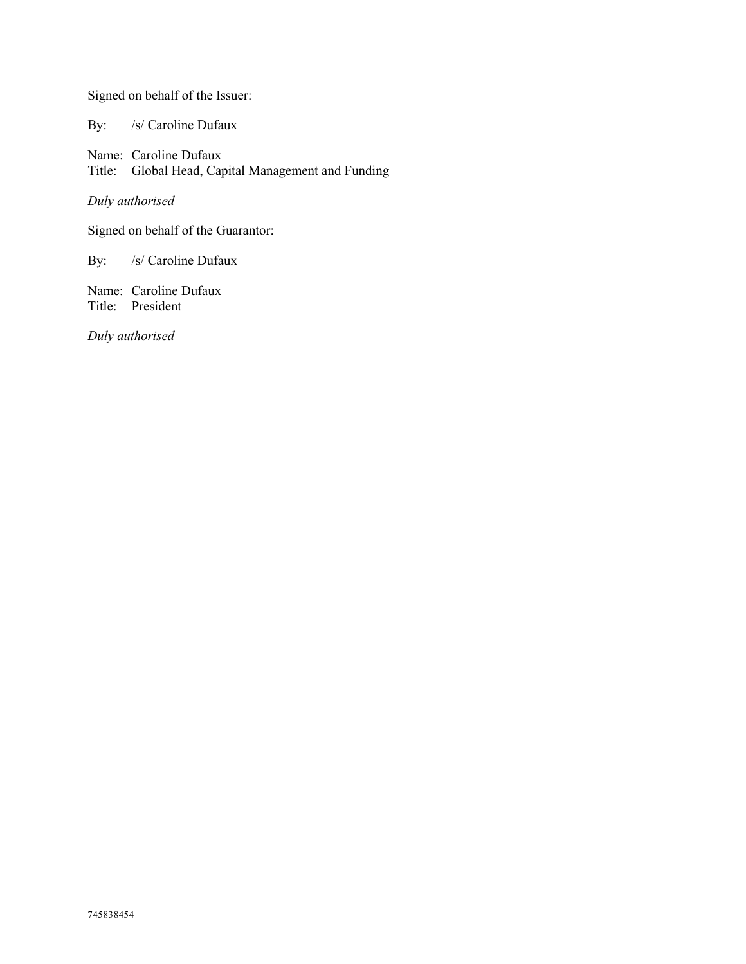Signed on behalf of the Issuer:

By: /s/ Caroline Dufaux

Name: Caroline Dufaux Title: Global Head, Capital Management and Funding

*Duly authorised*

Signed on behalf of the Guarantor:

By: /s/ Caroline Dufaux

Name: Caroline Dufaux Title: President

*Duly authorised*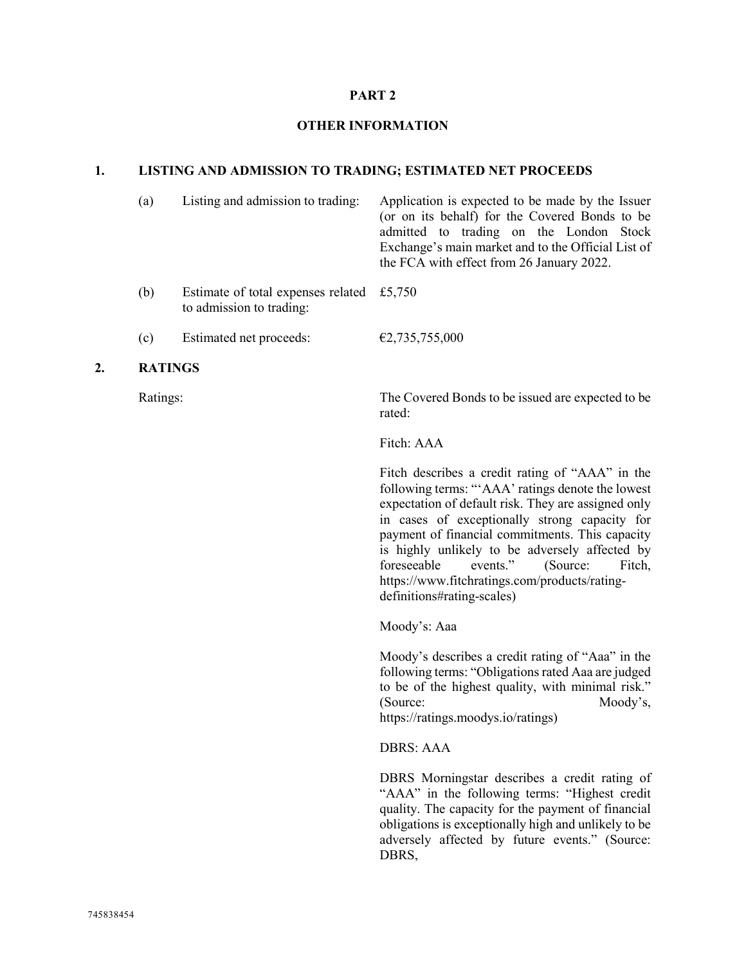#### **PART 2**

#### **OTHER INFORMATION**

### **1. LISTING AND ADMISSION TO TRADING; ESTIMATED NET PROCEEDS**

| (a) | Listing and admission to trading:                                       | Application is expected to be made by the Issuer<br>(or on its behalf) for the Covered Bonds to be<br>admitted to trading on the London Stock<br>Exchange's main market and to the Official List of<br>the FCA with effect from 26 January 2022. |
|-----|-------------------------------------------------------------------------|--------------------------------------------------------------------------------------------------------------------------------------------------------------------------------------------------------------------------------------------------|
| (b) | Estimate of total expenses related $£5,750$<br>to admission to trading: |                                                                                                                                                                                                                                                  |
| (c) | Estimated net proceeds:                                                 | €2,735,755,000                                                                                                                                                                                                                                   |

#### **2. RATINGS**

Ratings: The Covered Bonds to be issued are expected to be rated:

Fitch: AAA

Fitch describes a credit rating of "AAA" in the following terms: "'AAA' ratings denote the lowest expectation of default risk. They are assigned only in cases of exceptionally strong capacity for payment of financial commitments. This capacity is highly unlikely to be adversely affected by<br>foreseeable events," (Source: Fitch foreseeable events." (Source: Fitch, https://www.fitchratings.com/products/ratingdefinitions#rating-scales)

Moody's: Aaa

Moody's describes a credit rating of "Aaa" in the following terms: "Obligations rated Aaa are judged to be of the highest quality, with minimal risk." (Source: Moody's, https://ratings.moodys.io/ratings)

DBRS: AAA

DBRS Morningstar describes a credit rating of "AAA" in the following terms: "Highest credit quality. The capacity for the payment of financial obligations is exceptionally high and unlikely to be adversely affected by future events." (Source: DBRS,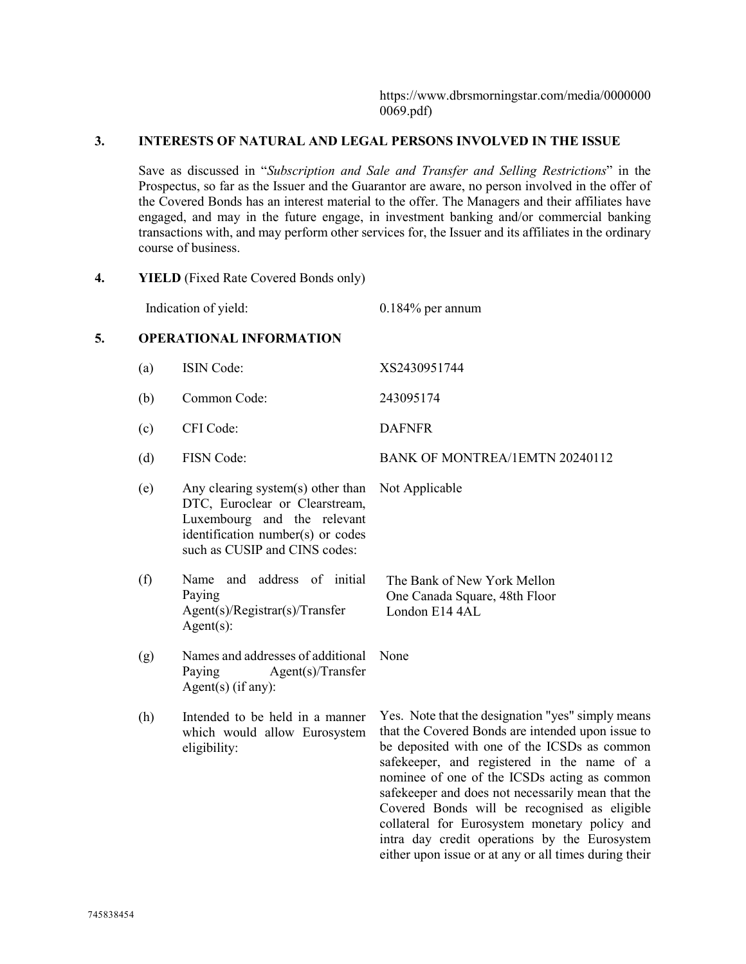https://www.dbrsmorningstar.com/media/0000000 0069.pdf)

collateral for Eurosystem monetary policy and intra day credit operations by the Eurosystem either upon issue or at any or all times during their

## **3. INTERESTS OF NATURAL AND LEGAL PERSONS INVOLVED IN THE ISSUE**

Save as discussed in "*Subscription and Sale and Transfer and Selling Restrictions*" in the Prospectus, so far as the Issuer and the Guarantor are aware, no person involved in the offer of the Covered Bonds has an interest material to the offer. The Managers and their affiliates have engaged, and may in the future engage, in investment banking and/or commercial banking transactions with, and may perform other services for, the Issuer and its affiliates in the ordinary course of business.

**4. YIELD** (Fixed Rate Covered Bonds only)

Indication of yield: 0.184% per annum

## **5. OPERATIONAL INFORMATION**

| (a) | <b>ISIN</b> Code:                                                                                                                                                        | XS2430951744                                                                                                                                                                                                                                                                                                                                               |
|-----|--------------------------------------------------------------------------------------------------------------------------------------------------------------------------|------------------------------------------------------------------------------------------------------------------------------------------------------------------------------------------------------------------------------------------------------------------------------------------------------------------------------------------------------------|
| (b) | Common Code:                                                                                                                                                             | 243095174                                                                                                                                                                                                                                                                                                                                                  |
| (c) | CFI Code:                                                                                                                                                                | <b>DAFNFR</b>                                                                                                                                                                                                                                                                                                                                              |
| (d) | <b>FISN</b> Code:                                                                                                                                                        | BANK OF MONTREA/1EMTN 20240112                                                                                                                                                                                                                                                                                                                             |
| (e) | Any clearing system(s) other than<br>DTC, Euroclear or Clearstream,<br>Luxembourg and the relevant<br>identification number(s) or codes<br>such as CUSIP and CINS codes: | Not Applicable                                                                                                                                                                                                                                                                                                                                             |
| (f) | and address of initial<br>Name<br>Paying<br>Agent(s)/Registrar(s)/Transfer<br>$Agent(s)$ :                                                                               | The Bank of New York Mellon<br>One Canada Square, 48th Floor<br>London E14 4AL                                                                                                                                                                                                                                                                             |
| (g) | Names and addresses of additional<br>Paying<br>Agent(s)/Transfer<br>$Agent(s)$ (if any):                                                                                 | None                                                                                                                                                                                                                                                                                                                                                       |
| (h) | Intended to be held in a manner<br>which would allow Eurosystem<br>eligibility:                                                                                          | Yes. Note that the designation "yes" simply means<br>that the Covered Bonds are intended upon issue to<br>be deposited with one of the ICSDs as common<br>safekeeper, and registered in the name of a<br>nominee of one of the ICSDs acting as common<br>safekeeper and does not necessarily mean that the<br>Covered Bonds will be recognised as eligible |